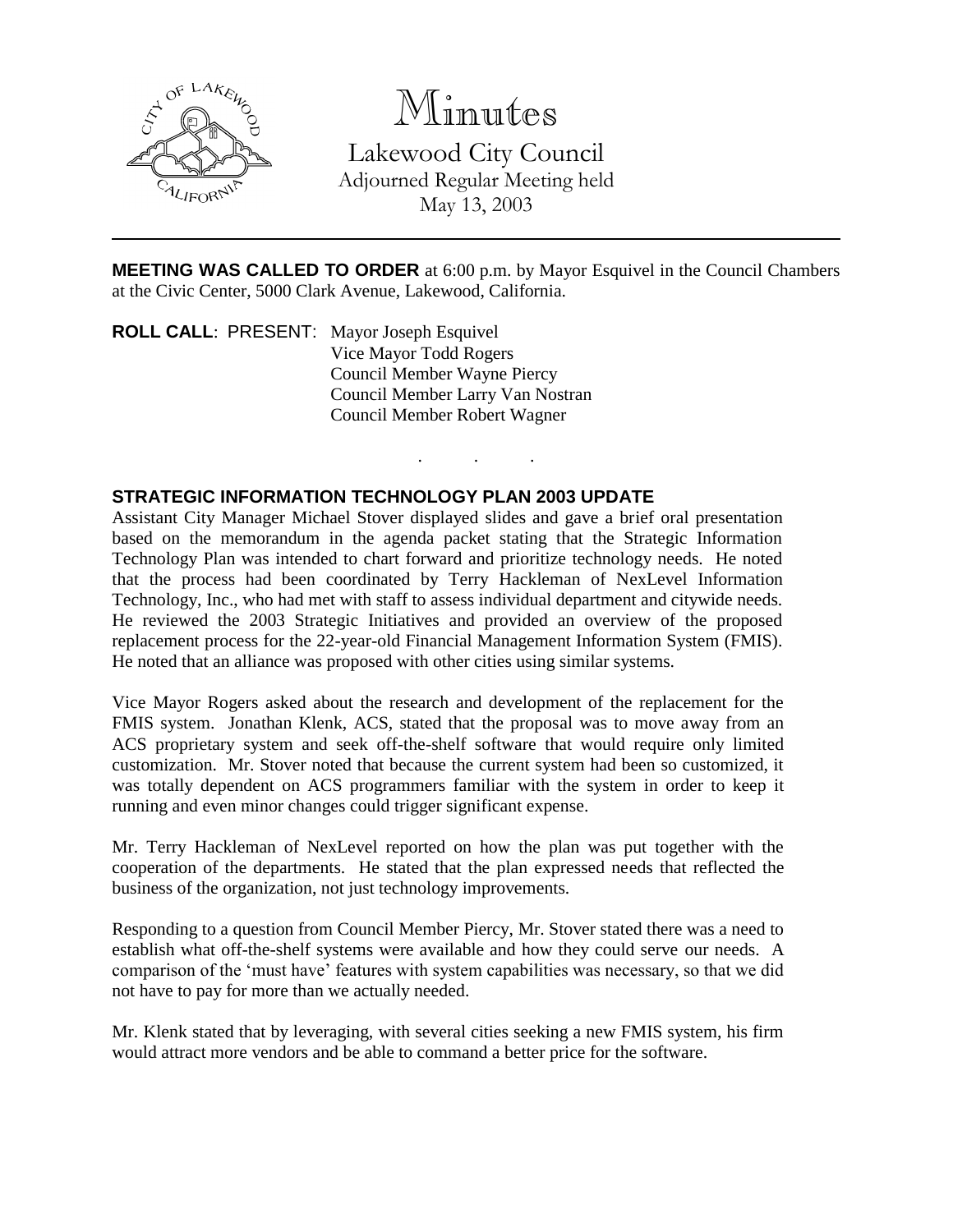

# Minutes

Lakewood City Council Adjourned Regular Meeting held May 13, 2003

**MEETING WAS CALLED TO ORDER** at 6:00 p.m. by Mayor Esquivel in the Council Chambers at the Civic Center, 5000 Clark Avenue, Lakewood, California.

. . .

**ROLL CALL**: PRESENT: Mayor Joseph Esquivel Vice Mayor Todd Rogers Council Member Wayne Piercy Council Member Larry Van Nostran Council Member Robert Wagner

## **STRATEGIC INFORMATION TECHNOLOGY PLAN 2003 UPDATE**

Assistant City Manager Michael Stover displayed slides and gave a brief oral presentation based on the memorandum in the agenda packet stating that the Strategic Information Technology Plan was intended to chart forward and prioritize technology needs. He noted that the process had been coordinated by Terry Hackleman of NexLevel Information Technology, Inc., who had met with staff to assess individual department and citywide needs. He reviewed the 2003 Strategic Initiatives and provided an overview of the proposed replacement process for the 22-year-old Financial Management Information System (FMIS). He noted that an alliance was proposed with other cities using similar systems.

Vice Mayor Rogers asked about the research and development of the replacement for the FMIS system. Jonathan Klenk, ACS, stated that the proposal was to move away from an ACS proprietary system and seek off-the-shelf software that would require only limited customization. Mr. Stover noted that because the current system had been so customized, it was totally dependent on ACS programmers familiar with the system in order to keep it running and even minor changes could trigger significant expense.

Mr. Terry Hackleman of NexLevel reported on how the plan was put together with the cooperation of the departments. He stated that the plan expressed needs that reflected the business of the organization, not just technology improvements.

Responding to a question from Council Member Piercy, Mr. Stover stated there was a need to establish what off-the-shelf systems were available and how they could serve our needs. A comparison of the 'must have' features with system capabilities was necessary, so that we did not have to pay for more than we actually needed.

Mr. Klenk stated that by leveraging, with several cities seeking a new FMIS system, his firm would attract more vendors and be able to command a better price for the software.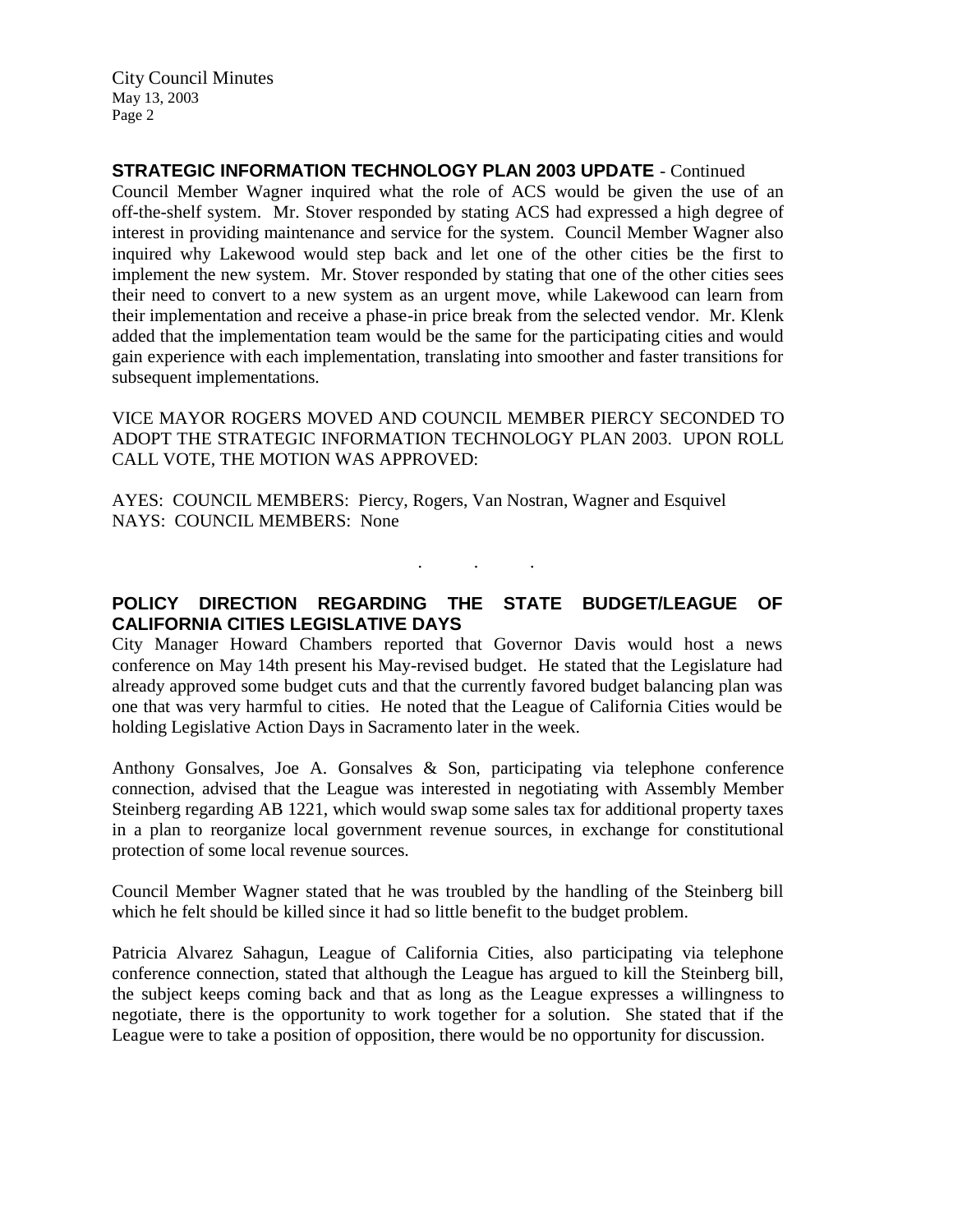City Council Minutes May 13, 2003 Page 2

**STRATEGIC INFORMATION TECHNOLOGY PLAN 2003 UPDATE** - Continued

Council Member Wagner inquired what the role of ACS would be given the use of an off-the-shelf system. Mr. Stover responded by stating ACS had expressed a high degree of interest in providing maintenance and service for the system. Council Member Wagner also inquired why Lakewood would step back and let one of the other cities be the first to implement the new system. Mr. Stover responded by stating that one of the other cities sees their need to convert to a new system as an urgent move, while Lakewood can learn from their implementation and receive a phase-in price break from the selected vendor. Mr. Klenk added that the implementation team would be the same for the participating cities and would gain experience with each implementation, translating into smoother and faster transitions for subsequent implementations.

VICE MAYOR ROGERS MOVED AND COUNCIL MEMBER PIERCY SECONDED TO ADOPT THE STRATEGIC INFORMATION TECHNOLOGY PLAN 2003. UPON ROLL CALL VOTE, THE MOTION WAS APPROVED:

AYES: COUNCIL MEMBERS: Piercy, Rogers, Van Nostran, Wagner and Esquivel NAYS: COUNCIL MEMBERS: None

## **POLICY DIRECTION REGARDING THE STATE BUDGET/LEAGUE OF CALIFORNIA CITIES LEGISLATIVE DAYS**

. . .

City Manager Howard Chambers reported that Governor Davis would host a news conference on May 14th present his May-revised budget. He stated that the Legislature had already approved some budget cuts and that the currently favored budget balancing plan was one that was very harmful to cities. He noted that the League of California Cities would be holding Legislative Action Days in Sacramento later in the week.

Anthony Gonsalves, Joe A. Gonsalves & Son, participating via telephone conference connection, advised that the League was interested in negotiating with Assembly Member Steinberg regarding AB 1221, which would swap some sales tax for additional property taxes in a plan to reorganize local government revenue sources, in exchange for constitutional protection of some local revenue sources.

Council Member Wagner stated that he was troubled by the handling of the Steinberg bill which he felt should be killed since it had so little benefit to the budget problem.

Patricia Alvarez Sahagun, League of California Cities, also participating via telephone conference connection, stated that although the League has argued to kill the Steinberg bill, the subject keeps coming back and that as long as the League expresses a willingness to negotiate, there is the opportunity to work together for a solution. She stated that if the League were to take a position of opposition, there would be no opportunity for discussion.